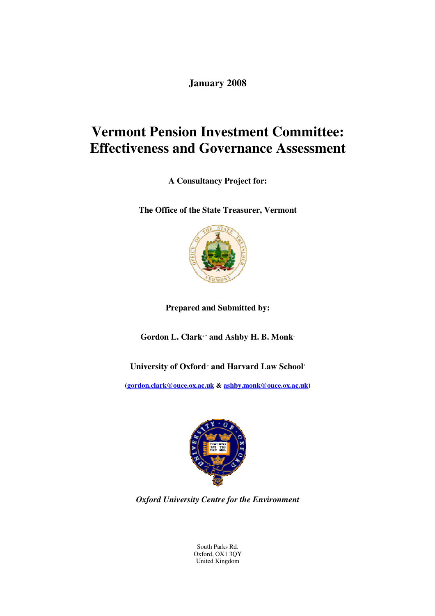**January 2008** 

# **Vermont Pension Investment Committee: Effectiveness and Governance Assessment**

**A Consultancy Project for:** 

**The Office of the State Treasurer, Vermont** 



**Prepared and Submitted by:** 

**Gordon L. Clark+ \* and Ashby H. B. Monk<sup>+</sup>**

**University of Oxford + and Harvard Law School\***

**(gordon.clark@ouce.ox.ac.uk & ashby.monk@ouce.ox.ac.uk)** 



*Oxford University Centre for the Environment* 

South Parks Rd. Oxford, OX1 3QY United Kingdom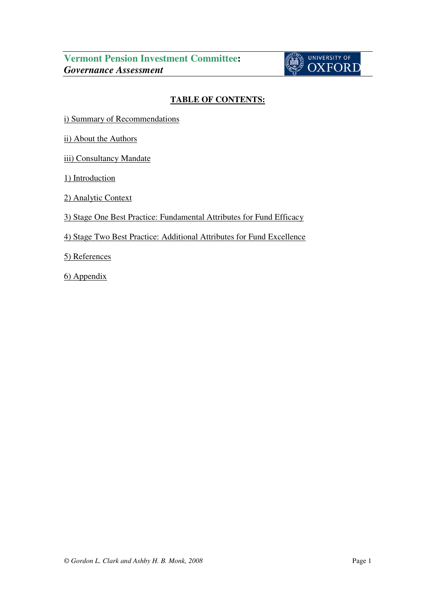

# **TABLE OF CONTENTS:**

i) Summary of Recommendations

ii) About the Authors

iii) Consultancy Mandate

1) Introduction

2) Analytic Context

3) Stage One Best Practice: Fundamental Attributes for Fund Efficacy

# 4) Stage Two Best Practice: Additional Attributes for Fund Excellence

5) References

6) Appendix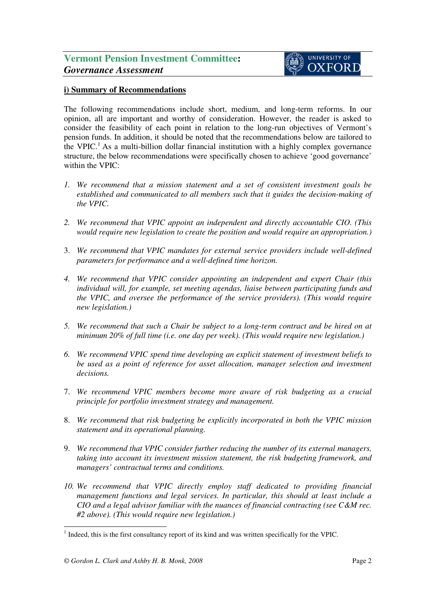# **i) Summary of Recommendations**

The following recommendations include short, medium, and long-term reforms. In our opinion, all are important and worthy of consideration. However, the reader is asked to consider the feasibility of each point in relation to the long-run objectives of Vermont's pension funds. In addition, it should be noted that the recommendations below are tailored to the VPIC.<sup>1</sup> As a multi-billion dollar financial institution with a highly complex governance structure, the below recommendations were specifically chosen to achieve 'good governance' within the VPIC:

- *1. We recommend that a mission statement and a set of consistent investment goals be established and communicated to all members such that it guides the decision-making of the VPIC.*
- *2. We recommend that VPIC appoint an independent and directly accountable CIO. (This would require new legislation to create the position and would require an appropriation.)*
- 3. *We recommend that VPIC mandates for external service providers include well-defined parameters for performance and a well-defined time horizon.*
- *4. We recommend that VPIC consider appointing an independent and expert Chair (this individual will, for example, set meeting agendas, liaise between participating funds and the VPIC, and oversee the performance of the service providers). (This would require new legislation.)*
- *5. We recommend that such a Chair be subject to a long-term contract and be hired on at minimum 20% of full time (i.e. one day per week). (This would require new legislation.)*
- *6. We recommend VPIC spend time developing an explicit statement of investment beliefs to be used as a point of reference for asset allocation, manager selection and investment decisions.*
- 7. *We recommend VPIC members become more aware of risk budgeting as a crucial principle for portfolio investment strategy and management.*
- 8. *We recommend that risk budgeting be explicitly incorporated in both the VPIC mission statement and its operational planning.*
- 9. *We recommend that VPIC consider further reducing the number of its external managers, taking into account its investment mission statement, the risk budgeting framework, and managers' contractual terms and conditions.*
- *10. We recommend that VPIC directly employ staff dedicated to providing financial management functions and legal services. In particular, this should at least include a CIO and a legal advisor familiar with the nuances of financial contracting (see C&M rec. #2 above). (This would require new legislation.)*

l <sup>1</sup> Indeed, this is the first consultancy report of its kind and was written specifically for the VPIC.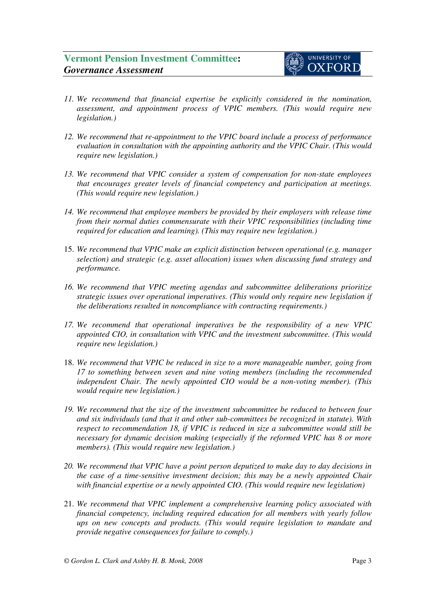- *11. We recommend that financial expertise be explicitly considered in the nomination, assessment, and appointment process of VPIC members. (This would require new legislation.)*
- *12. We recommend that re-appointment to the VPIC board include a process of performance evaluation in consultation with the appointing authority and the VPIC Chair. (This would require new legislation.)*
- *13. We recommend that VPIC consider a system of compensation for non-state employees that encourages greater levels of financial competency and participation at meetings. (This would require new legislation.)*
- *14. We recommend that employee members be provided by their employers with release time from their normal duties commensurate with their VPIC responsibilities (including time required for education and learning). (This may require new legislation.)*
- 15. *We recommend that VPIC make an explicit distinction between operational (e.g. manager selection) and strategic (e.g. asset allocation) issues when discussing fund strategy and performance.*
- *16. We recommend that VPIC meeting agendas and subcommittee deliberations prioritize strategic issues over operational imperatives. (This would only require new legislation if the deliberations resulted in noncompliance with contracting requirements.)*
- *17. We recommend that operational imperatives be the responsibility of a new VPIC appointed CIO, in consultation with VPIC and the investment subcommittee. (This would require new legislation.)*
- 18. *We recommend that VPIC be reduced in size to a more manageable number, going from 17 to something between seven and nine voting members (including the recommended independent Chair. The newly appointed CIO would be a non-voting member). (This would require new legislation.)*
- *19. We recommend that the size of the investment subcommittee be reduced to between four and six individuals (and that it and other sub-committees be recognized in statute). With respect to recommendation 18, if VPIC is reduced in size a subcommittee would still be necessary for dynamic decision making (especially if the reformed VPIC has 8 or more members). (This would require new legislation.)*
- *20. We recommend that VPIC have a point person deputized to make day to day decisions in the case of a time-sensitive investment decision; this may be a newly appointed Chair with financial expertise or a newly appointed CIO. (This would require new legislation)*
- 21. *We recommend that VPIC implement a comprehensive learning policy associated with financial competency, including required education for all members with yearly follow ups on new concepts and products. (This would require legislation to mandate and provide negative consequences for failure to comply.)*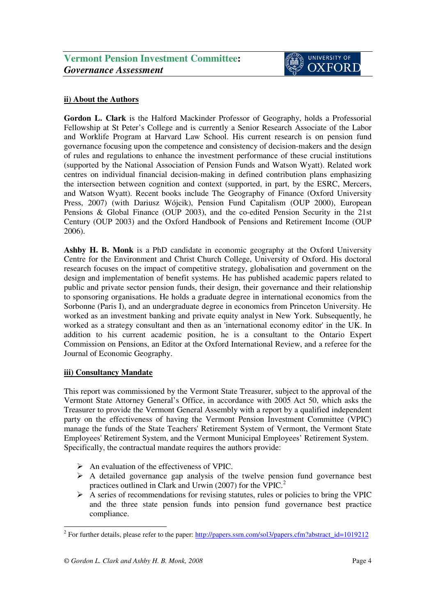### **ii) About the Authors**

**Gordon L. Clark** is the Halford Mackinder Professor of Geography, holds a Professorial Fellowship at St Peter's College and is currently a Senior Research Associate of the Labor and Worklife Program at Harvard Law School. His current research is on pension fund governance focusing upon the competence and consistency of decision-makers and the design of rules and regulations to enhance the investment performance of these crucial institutions (supported by the National Association of Pension Funds and Watson Wyatt). Related work centres on individual financial decision-making in defined contribution plans emphasizing the intersection between cognition and context (supported, in part, by the ESRC, Mercers, and Watson Wyatt). Recent books include The Geography of Finance (Oxford University Press, 2007) (with Dariusz Wójcik), Pension Fund Capitalism (OUP 2000), European Pensions & Global Finance (OUP 2003), and the co-edited Pension Security in the 21st Century (OUP 2003) and the Oxford Handbook of Pensions and Retirement Income (OUP 2006).

**Ashby H. B. Monk** is a PhD candidate in economic geography at the Oxford University Centre for the Environment and Christ Church College, University of Oxford. His doctoral research focuses on the impact of competitive strategy, globalisation and government on the design and implementation of benefit systems. He has published academic papers related to public and private sector pension funds, their design, their governance and their relationship to sponsoring organisations. He holds a graduate degree in international economics from the Sorbonne (Paris I), and an undergraduate degree in economics from Princeton University. He worked as an investment banking and private equity analyst in New York. Subsequently, he worked as a strategy consultant and then as an 'international economy editor' in the UK. In addition to his current academic position, he is a consultant to the Ontario Expert Commission on Pensions, an Editor at the Oxford International Review, and a referee for the Journal of Economic Geography.

### **iii) Consultancy Mandate**

This report was commissioned by the Vermont State Treasurer, subject to the approval of the Vermont State Attorney General's Office, in accordance with 2005 Act 50, which asks the Treasurer to provide the Vermont General Assembly with a report by a qualified independent party on the effectiveness of having the Vermont Pension Investment Committee (VPIC) manage the funds of the State Teachers' Retirement System of Vermont, the Vermont State Employees' Retirement System, and the Vermont Municipal Employees' Retirement System. Specifically, the contractual mandate requires the authors provide:

- $\triangleright$  An evaluation of the effectiveness of VPIC.
- $\triangleright$  A detailed governance gap analysis of the twelve pension fund governance best practices outlined in Clark and Urwin (2007) for the VPIC.<sup>2</sup>
- $\triangleright$  A series of recommendations for revising statutes, rules or policies to bring the VPIC and the three state pension funds into pension fund governance best practice compliance.

l <sup>2</sup> For further details, please refer to the paper: http://papers.ssrn.com/sol3/papers.cfm?abstract\_id=1019212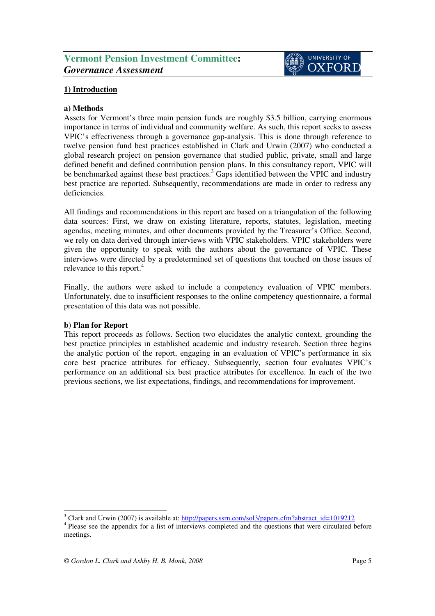# **1) Introduction**

### **a) Methods**

Assets for Vermont's three main pension funds are roughly \$3.5 billion, carrying enormous importance in terms of individual and community welfare. As such, this report seeks to assess VPIC's effectiveness through a governance gap-analysis. This is done through reference to twelve pension fund best practices established in Clark and Urwin (2007) who conducted a global research project on pension governance that studied public, private, small and large defined benefit and defined contribution pension plans. In this consultancy report, VPIC will be benchmarked against these best practices.<sup>3</sup> Gaps identified between the VPIC and industry best practice are reported. Subsequently, recommendations are made in order to redress any deficiencies.

All findings and recommendations in this report are based on a triangulation of the following data sources: First, we draw on existing literature, reports, statutes, legislation, meeting agendas, meeting minutes, and other documents provided by the Treasurer's Office. Second, we rely on data derived through interviews with VPIC stakeholders. VPIC stakeholders were given the opportunity to speak with the authors about the governance of VPIC. These interviews were directed by a predetermined set of questions that touched on those issues of relevance to this report.<sup>4</sup>

Finally, the authors were asked to include a competency evaluation of VPIC members. Unfortunately, due to insufficient responses to the online competency questionnaire, a formal presentation of this data was not possible.

### **b) Plan for Report**

This report proceeds as follows. Section two elucidates the analytic context, grounding the best practice principles in established academic and industry research. Section three begins the analytic portion of the report, engaging in an evaluation of VPIC's performance in six core best practice attributes for efficacy. Subsequently, section four evaluates VPIC's performance on an additional six best practice attributes for excellence. In each of the two previous sections, we list expectations, findings, and recommendations for improvement.

l <sup>3</sup> Clark and Urwin (2007) is available at: http://papers.ssrn.com/sol3/papers.cfm?abstract\_id=1019212

<sup>&</sup>lt;sup>4</sup> Please see the appendix for a list of interviews completed and the questions that were circulated before meetings.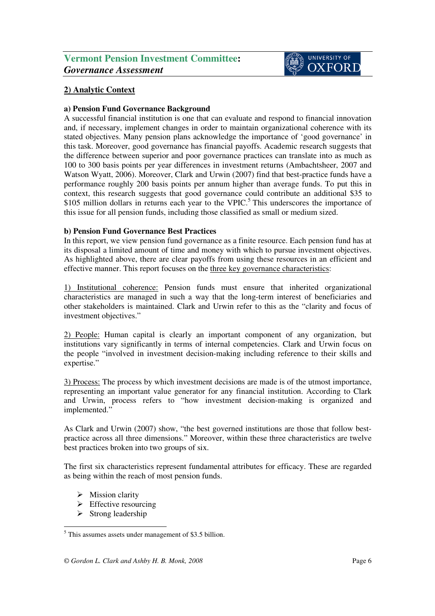# **2) Analytic Context**

### **a) Pension Fund Governance Background**

A successful financial institution is one that can evaluate and respond to financial innovation and, if necessary, implement changes in order to maintain organizational coherence with its stated objectives. Many pension plans acknowledge the importance of 'good governance' in this task. Moreover, good governance has financial payoffs. Academic research suggests that the difference between superior and poor governance practices can translate into as much as 100 to 300 basis points per year differences in investment returns (Ambachtsheer, 2007 and Watson Wyatt, 2006). Moreover, Clark and Urwin (2007) find that best-practice funds have a performance roughly 200 basis points per annum higher than average funds. To put this in context, this research suggests that good governance could contribute an additional \$35 to \$105 million dollars in returns each year to the VPIC.<sup>5</sup> This underscores the importance of this issue for all pension funds, including those classified as small or medium sized.

### **b) Pension Fund Governance Best Practices**

In this report, we view pension fund governance as a finite resource. Each pension fund has at its disposal a limited amount of time and money with which to pursue investment objectives. As highlighted above, there are clear payoffs from using these resources in an efficient and effective manner. This report focuses on the three key governance characteristics:

1) Institutional coherence: Pension funds must ensure that inherited organizational characteristics are managed in such a way that the long-term interest of beneficiaries and other stakeholders is maintained. Clark and Urwin refer to this as the "clarity and focus of investment objectives."

2) People: Human capital is clearly an important component of any organization, but institutions vary significantly in terms of internal competencies. Clark and Urwin focus on the people "involved in investment decision-making including reference to their skills and expertise."

3) Process: The process by which investment decisions are made is of the utmost importance, representing an important value generator for any financial institution. According to Clark and Urwin, process refers to "how investment decision-making is organized and implemented."

As Clark and Urwin (2007) show, "the best governed institutions are those that follow bestpractice across all three dimensions." Moreover, within these three characteristics are twelve best practices broken into two groups of six.

The first six characteristics represent fundamental attributes for efficacy. These are regarded as being within the reach of most pension funds.

- $\triangleright$  Mission clarity
- $\triangleright$  Effective resourcing
- $\triangleright$  Strong leadership

l <sup>5</sup> This assumes assets under management of \$3.5 billion.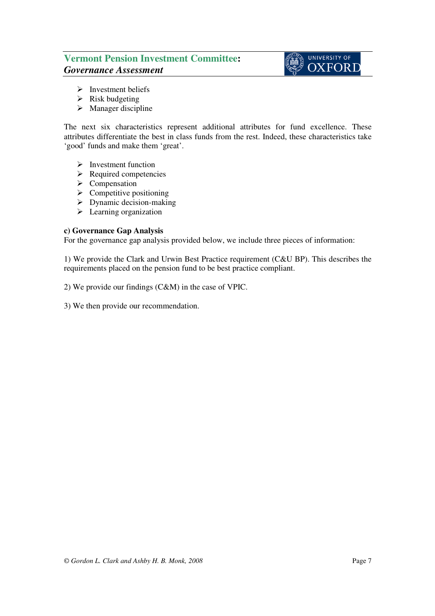# UNIVERSITY OF **OXFORD**

- $\triangleright$  Investment beliefs
- $\triangleright$  Risk budgeting
- $\triangleright$  Manager discipline

The next six characteristics represent additional attributes for fund excellence. These attributes differentiate the best in class funds from the rest. Indeed, these characteristics take 'good' funds and make them 'great'.

- $\triangleright$  Investment function
- $\triangleright$  Required competencies
- $\triangleright$  Compensation
- $\triangleright$  Competitive positioning
- $\triangleright$  Dynamic decision-making
- $\blacktriangleright$  Learning organization

### **c) Governance Gap Analysis**

For the governance gap analysis provided below, we include three pieces of information:

1) We provide the Clark and Urwin Best Practice requirement (C&U BP). This describes the requirements placed on the pension fund to be best practice compliant.

2) We provide our findings (C&M) in the case of VPIC.

3) We then provide our recommendation.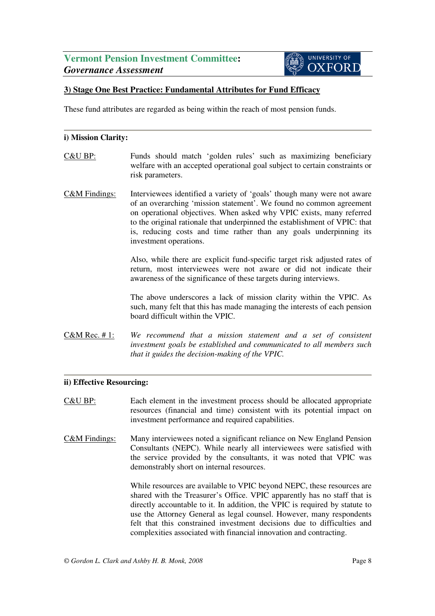# **UNIVERSITY OF OXFORD**

# **3) Stage One Best Practice: Fundamental Attributes for Fund Efficacy**

These fund attributes are regarded as being within the reach of most pension funds.

### **i) Mission Clarity:**

- C&U BP: Funds should match 'golden rules' such as maximizing beneficiary welfare with an accepted operational goal subject to certain constraints or risk parameters.
- C&M Findings: Interviewees identified a variety of 'goals' though many were not aware of an overarching 'mission statement'. We found no common agreement on operational objectives. When asked why VPIC exists, many referred to the original rationale that underpinned the establishment of VPIC: that is, reducing costs and time rather than any goals underpinning its investment operations.

Also, while there are explicit fund-specific target risk adjusted rates of return, most interviewees were not aware or did not indicate their awareness of the significance of these targets during interviews.

The above underscores a lack of mission clarity within the VPIC. As such, many felt that this has made managing the interests of each pension board difficult within the VPIC.

C&M Rec. # 1: *We recommend that a mission statement and a set of consistent investment goals be established and communicated to all members such that it guides the decision-making of the VPIC.* 

### **ii) Effective Resourcing:**

- C&U BP: Each element in the investment process should be allocated appropriate resources (financial and time) consistent with its potential impact on investment performance and required capabilities.
- C&M Findings: Many interviewees noted a significant reliance on New England Pension Consultants (NEPC). While nearly all interviewees were satisfied with the service provided by the consultants, it was noted that VPIC was demonstrably short on internal resources.

While resources are available to VPIC beyond NEPC, these resources are shared with the Treasurer's Office. VPIC apparently has no staff that is directly accountable to it. In addition, the VPIC is required by statute to use the Attorney General as legal counsel. However, many respondents felt that this constrained investment decisions due to difficulties and complexities associated with financial innovation and contracting.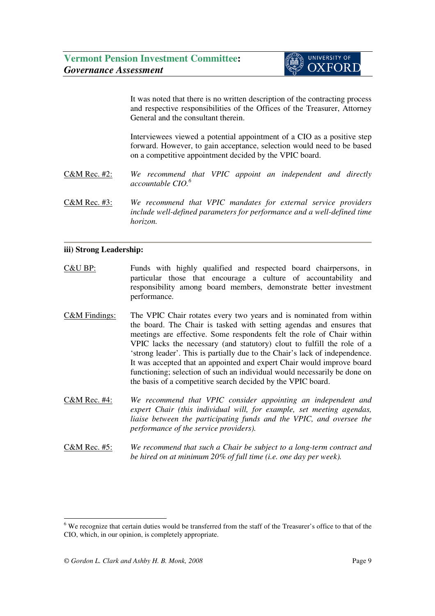It was noted that there is no written description of the contracting process and respective responsibilities of the Offices of the Treasurer, Attorney General and the consultant therein.

Interviewees viewed a potential appointment of a CIO as a positive step forward. However, to gain acceptance, selection would need to be based on a competitive appointment decided by the VPIC board.

- C&M Rec. #2: *We recommend that VPIC appoint an independent and directly accountable CIO.<sup>6</sup>*
- C&M Rec. #3: *We recommend that VPIC mandates for external service providers include well-defined parameters for performance and a well-defined time horizon.*

### **iii) Strong Leadership:**

- C&U BP: Funds with highly qualified and respected board chairpersons, in particular those that encourage a culture of accountability and responsibility among board members, demonstrate better investment performance.
- C&M Findings: The VPIC Chair rotates every two years and is nominated from within the board. The Chair is tasked with setting agendas and ensures that meetings are effective. Some respondents felt the role of Chair within VPIC lacks the necessary (and statutory) clout to fulfill the role of a 'strong leader'. This is partially due to the Chair's lack of independence. It was accepted that an appointed and expert Chair would improve board functioning; selection of such an individual would necessarily be done on the basis of a competitive search decided by the VPIC board.
- C&M Rec. #4: *We recommend that VPIC consider appointing an independent and expert Chair (this individual will, for example, set meeting agendas, liaise between the participating funds and the VPIC, and oversee the performance of the service providers).*
- C&M Rec. #5: *We recommend that such a Chair be subject to a long-term contract and be hired on at minimum 20% of full time (i.e. one day per week).*

l

<sup>&</sup>lt;sup>6</sup> We recognize that certain duties would be transferred from the staff of the Treasurer's office to that of the CIO, which, in our opinion, is completely appropriate.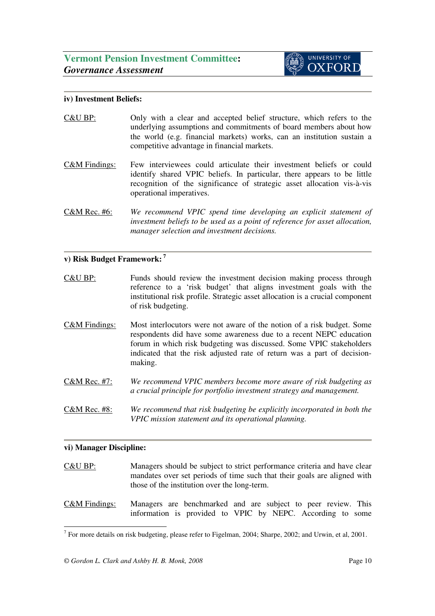### **iv) Investment Beliefs:**

- C&U BP: Only with a clear and accepted belief structure, which refers to the underlying assumptions and commitments of board members about how the world (e.g. financial markets) works, can an institution sustain a competitive advantage in financial markets.
- C&M Findings: Few interviewees could articulate their investment beliefs or could identify shared VPIC beliefs. In particular, there appears to be little recognition of the significance of strategic asset allocation vis-à-vis operational imperatives.
- C&M Rec. #6: *We recommend VPIC spend time developing an explicit statement of investment beliefs to be used as a point of reference for asset allocation, manager selection and investment decisions.*

### **v) Risk Budget Framework:<sup>7</sup>**

- C&U BP: Funds should review the investment decision making process through reference to a 'risk budget' that aligns investment goals with the institutional risk profile. Strategic asset allocation is a crucial component of risk budgeting.
- C&M Findings: Most interlocutors were not aware of the notion of a risk budget. Some respondents did have some awareness due to a recent NEPC education forum in which risk budgeting was discussed. Some VPIC stakeholders indicated that the risk adjusted rate of return was a part of decisionmaking.
- C&M Rec. #7: *We recommend VPIC members become more aware of risk budgeting as a crucial principle for portfolio investment strategy and management.*
- C&M Rec. #8: *We recommend that risk budgeting be explicitly incorporated in both the VPIC mission statement and its operational planning.*

### **vi) Manager Discipline:**

- C&U BP: Managers should be subject to strict performance criteria and have clear mandates over set periods of time such that their goals are aligned with those of the institution over the long-term.
- C&M Findings: Managers are benchmarked and are subject to peer review. This information is provided to VPIC by NEPC. According to some

l <sup>7</sup> For more details on risk budgeting, please refer to Figelman, 2004; Sharpe, 2002; and Urwin, et al, 2001.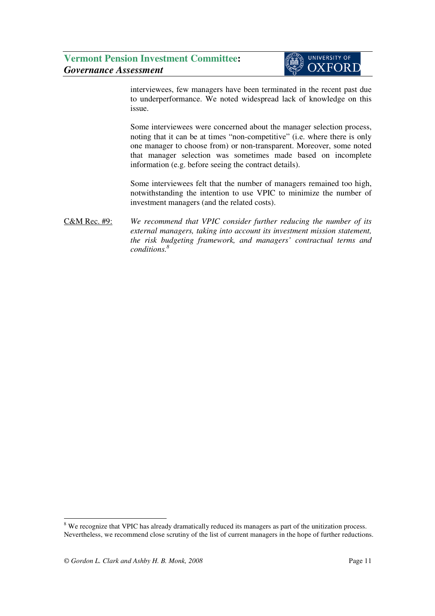

interviewees, few managers have been terminated in the recent past due to underperformance. We noted widespread lack of knowledge on this issue.

Some interviewees were concerned about the manager selection process, noting that it can be at times "non-competitive" (i.e. where there is only one manager to choose from) or non-transparent. Moreover, some noted that manager selection was sometimes made based on incomplete information (e.g. before seeing the contract details).

Some interviewees felt that the number of managers remained too high, notwithstanding the intention to use VPIC to minimize the number of investment managers (and the related costs).

C&M Rec. #9: *We recommend that VPIC consider further reducing the number of its external managers, taking into account its investment mission statement, the risk budgeting framework, and managers' contractual terms and conditions.<sup>8</sup>*

l

<sup>&</sup>lt;sup>8</sup> We recognize that VPIC has already dramatically reduced its managers as part of the unitization process. Nevertheless, we recommend close scrutiny of the list of current managers in the hope of further reductions.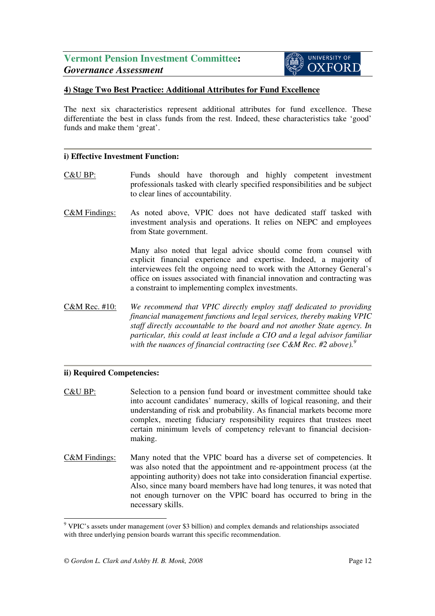### **4) Stage Two Best Practice: Additional Attributes for Fund Excellence**

The next six characteristics represent additional attributes for fund excellence. These differentiate the best in class funds from the rest. Indeed, these characteristics take 'good' funds and make them 'great'.

#### **i) Effective Investment Function:**

- C&U BP: Funds should have thorough and highly competent investment professionals tasked with clearly specified responsibilities and be subject to clear lines of accountability.
- C&M Findings: As noted above, VPIC does not have dedicated staff tasked with investment analysis and operations. It relies on NEPC and employees from State government.

Many also noted that legal advice should come from counsel with explicit financial experience and expertise. Indeed, a majority of interviewees felt the ongoing need to work with the Attorney General's office on issues associated with financial innovation and contracting was a constraint to implementing complex investments.

C&M Rec. #10: *We recommend that VPIC directly employ staff dedicated to providing financial management functions and legal services, thereby making VPIC staff directly accountable to the board and not another State agency. In particular, this could at least include a CIO and a legal advisor familiar with the nuances of financial contracting (see C&M Rec. #2 above).<sup>9</sup>* i

### **ii) Required Competencies:**

C&U BP: Selection to a pension fund board or investment committee should take into account candidates' numeracy, skills of logical reasoning, and their understanding of risk and probability. As financial markets become more complex, meeting fiduciary responsibility requires that trustees meet certain minimum levels of competency relevant to financial decisionmaking.

C&M Findings: Many noted that the VPIC board has a diverse set of competencies. It was also noted that the appointment and re-appointment process (at the appointing authority) does not take into consideration financial expertise. Also, since many board members have had long tenures, it was noted that not enough turnover on the VPIC board has occurred to bring in the necessary skills.

l

<sup>&</sup>lt;sup>9</sup> VPIC's assets under management (over \$3 billion) and complex demands and relationships associated with three underlying pension boards warrant this specific recommendation.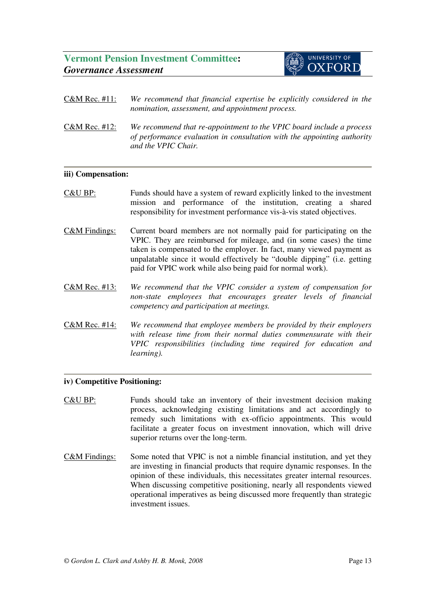

| C&M Rec. #11:                                    | We recommend that financial expertise be explicitly considered in the |  |  |  |  |
|--------------------------------------------------|-----------------------------------------------------------------------|--|--|--|--|
| nomination, assessment, and appointment process. |                                                                       |  |  |  |  |

C&M Rec. #12: *We recommend that re-appointment to the VPIC board include a process of performance evaluation in consultation with the appointing authority and the VPIC Chair.* 

### **iii) Compensation:**

- C&U BP: Funds should have a system of reward explicitly linked to the investment mission and performance of the institution, creating a shared responsibility for investment performance vis-à-vis stated objectives.
- C&M Findings: Current board members are not normally paid for participating on the VPIC. They are reimbursed for mileage, and (in some cases) the time taken is compensated to the employer. In fact, many viewed payment as unpalatable since it would effectively be "double dipping" (i.e. getting paid for VPIC work while also being paid for normal work).
- C&M Rec. #13: *We recommend that the VPIC consider a system of compensation for non-state employees that encourages greater levels of financial competency and participation at meetings.*
- C&M Rec. #14: *We recommend that employee members be provided by their employers with release time from their normal duties commensurate with their VPIC responsibilities (including time required for education and learning).*

### **iv) Competitive Positioning:**

- C&U BP: Funds should take an inventory of their investment decision making process, acknowledging existing limitations and act accordingly to remedy such limitations with ex-officio appointments. This would facilitate a greater focus on investment innovation, which will drive superior returns over the long-term.
- C&M Findings: Some noted that VPIC is not a nimble financial institution, and yet they are investing in financial products that require dynamic responses. In the opinion of these individuals, this necessitates greater internal resources. When discussing competitive positioning, nearly all respondents viewed operational imperatives as being discussed more frequently than strategic investment issues.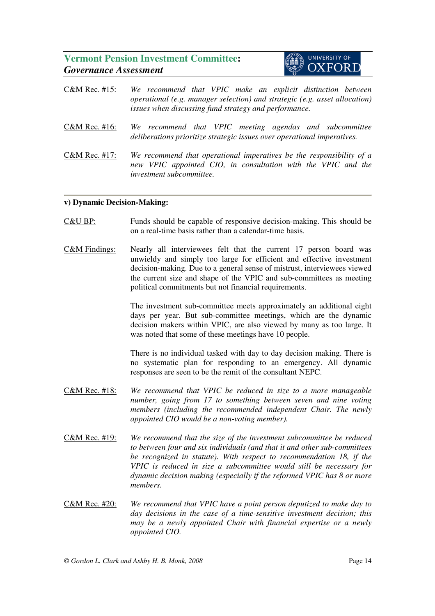

- C&M Rec. #15: *We recommend that VPIC make an explicit distinction between operational (e.g. manager selection) and strategic (e.g. asset allocation) issues when discussing fund strategy and performance.* C&M Rec. #16: *We recommend that VPIC meeting agendas and subcommittee deliberations prioritize strategic issues over operational imperatives.*
- C&M Rec. #17: *We recommend that operational imperatives be the responsibility of a new VPIC appointed CIO, in consultation with the VPIC and the investment subcommittee.*

### **v) Dynamic Decision-Making:**

- C&U BP: Funds should be capable of responsive decision-making. This should be on a real-time basis rather than a calendar-time basis.
- C&M Findings: Nearly all interviewees felt that the current 17 person board was unwieldy and simply too large for efficient and effective investment decision-making. Due to a general sense of mistrust, interviewees viewed the current size and shape of the VPIC and sub-committees as meeting political commitments but not financial requirements.

The investment sub-committee meets approximately an additional eight days per year. But sub-committee meetings, which are the dynamic decision makers within VPIC, are also viewed by many as too large. It was noted that some of these meetings have 10 people.

There is no individual tasked with day to day decision making. There is no systematic plan for responding to an emergency. All dynamic responses are seen to be the remit of the consultant NEPC.

- C&M Rec. #18: *We recommend that VPIC be reduced in size to a more manageable number, going from 17 to something between seven and nine voting members (including the recommended independent Chair. The newly appointed CIO would be a non-voting member).*
- C&M Rec. #19: *We recommend that the size of the investment subcommittee be reduced to between four and six individuals (and that it and other sub-committees be recognized in statute). With respect to recommendation 18, if the VPIC is reduced in size a subcommittee would still be necessary for dynamic decision making (especially if the reformed VPIC has 8 or more members.*
- C&M Rec. #20: *We recommend that VPIC have a point person deputized to make day to day decisions in the case of a time-sensitive investment decision; this may be a newly appointed Chair with financial expertise or a newly appointed CIO.*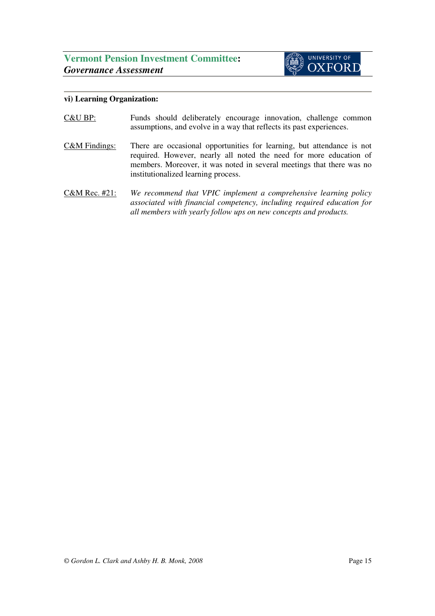

### **vi) Learning Organization:**

- C&U BP: Funds should deliberately encourage innovation, challenge common assumptions, and evolve in a way that reflects its past experiences.
- C&M Findings: There are occasional opportunities for learning, but attendance is not required. However, nearly all noted the need for more education of members. Moreover, it was noted in several meetings that there was no institutionalized learning process.
- C&M Rec. #21: *We recommend that VPIC implement a comprehensive learning policy associated with financial competency, including required education for all members with yearly follow ups on new concepts and products.*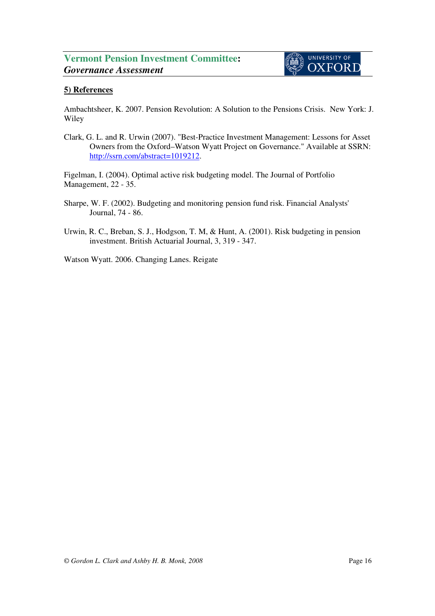# **5) References**

Ambachtsheer, K. 2007. Pension Revolution: A Solution to the Pensions Crisis. New York: J. Wiley

Clark, G. L. and R. Urwin (2007). "Best-Practice Investment Management: Lessons for Asset Owners from the Oxford–Watson Wyatt Project on Governance." Available at SSRN: http://ssrn.com/abstract=1019212.

Figelman, I. (2004). Optimal active risk budgeting model. The Journal of Portfolio Management, 22 - 35.

- Sharpe, W. F. (2002). Budgeting and monitoring pension fund risk. Financial Analysts' Journal, 74 - 86.
- Urwin, R. C., Breban, S. J., Hodgson, T. M, & Hunt, A. (2001). Risk budgeting in pension investment. British Actuarial Journal, 3, 319 - 347.

Watson Wyatt. 2006. Changing Lanes. Reigate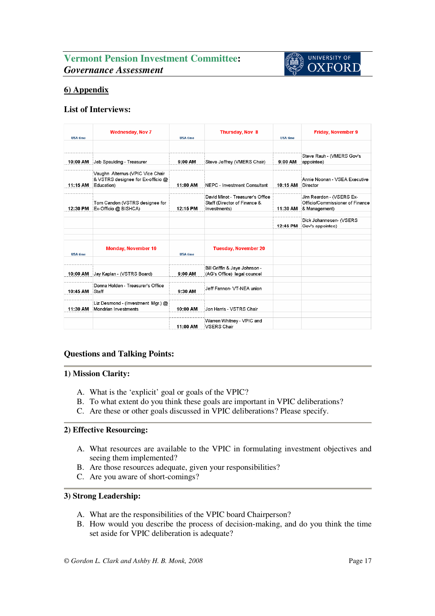

# **6) Appendix**

### **List of Interviews:**

| <b>IISA time</b> | <b>Wednesday, Nov 7</b>                                                            | <b>IISA time</b> | <b>Thursday, Nov 8</b>                                       | <b>IISA time</b> | <b>Friday, November 9</b>                        |
|------------------|------------------------------------------------------------------------------------|------------------|--------------------------------------------------------------|------------------|--------------------------------------------------|
|                  |                                                                                    |                  |                                                              |                  |                                                  |
| 10:00 AM         | Jeb Spaulding - Treasurer                                                          | 9:00 AM          | Steve Jeffrey (VMERS Chair)                                  | 9:00 AM          | Steve Rauh - (VMERS Gov's<br>appointee)          |
|                  |                                                                                    |                  |                                                              |                  |                                                  |
| 11:15 AM         | Vaughn Altemus (VPIC Vice Chair<br>& VSTRS designee for Ex-officio @<br>Education) | 11:00 AM         | NEPC - Investment Consultant                                 | 10:15 AM         | Annie Noonan - VSEA Executive<br>Director        |
|                  |                                                                                    |                  | David Minot - Treasurer's Office                             |                  | Jim Reardon - (VSERS Ex-                         |
| 12:30 PM         | Tom Candon (VSTRS designee for<br>Ex-Officio @ BISHCA)                             | 12:15 PM         | Staff (Director of Finance &<br>Investments)                 | 11:30 AM         | Officio/Commissioner of Finance<br>& Management) |
|                  |                                                                                    |                  |                                                              |                  |                                                  |
|                  |                                                                                    |                  |                                                              | 12:45 PM         | Dick Johannesen- (VSERS<br>Gov's appointee)      |
|                  |                                                                                    |                  |                                                              |                  |                                                  |
|                  |                                                                                    |                  |                                                              |                  |                                                  |
| <b>USA time</b>  | <b>Monday, November 19</b>                                                         | <b>USA time</b>  | <b>Tuesday, November 20</b>                                  |                  |                                                  |
|                  |                                                                                    |                  |                                                              |                  |                                                  |
| 10:00 AM         | Jay Kaplan - (VSTRS Board)                                                         | 9:00 AM          | Bill Griffin & Jaye Johnson -<br>(AG's Office) legal councel |                  |                                                  |
|                  |                                                                                    |                  |                                                              |                  |                                                  |
| 10:45 AM         | Donna Holden - Treasurer's Office<br>Staff                                         | 9:30 AM          | Jeff Fannon- VT-NEA union                                    |                  |                                                  |
|                  |                                                                                    |                  |                                                              |                  |                                                  |
| 11:30 AM         | Liz Desmond - (Investment Mgr.) @<br>Mondrian Investments                          | 10:00 AM         | Jon Harris - VSTRS Chair                                     |                  |                                                  |
|                  |                                                                                    |                  |                                                              |                  |                                                  |
|                  |                                                                                    | 11:00 AM         | Warren Whitney - VPIC and<br><b>VSERS Chair</b>              |                  |                                                  |

### **Questions and Talking Points:**

### **1) Mission Clarity:**

- A. What is the 'explicit' goal or goals of the VPIC?
- B. To what extent do you think these goals are important in VPIC deliberations?
- C. Are these or other goals discussed in VPIC deliberations? Please specify.

### **2) Effective Resourcing:**

- A. What resources are available to the VPIC in formulating investment objectives and seeing them implemented?
- B. Are those resources adequate, given your responsibilities?
- C. Are you aware of short-comings?

### **3) Strong Leadership:**

- A. What are the responsibilities of the VPIC board Chairperson?
- B. How would you describe the process of decision-making, and do you think the time set aside for VPIC deliberation is adequate?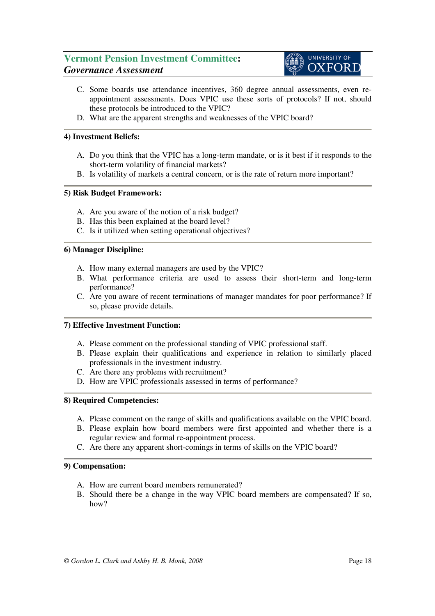

- C. Some boards use attendance incentives, 360 degree annual assessments, even reappointment assessments. Does VPIC use these sorts of protocols? If not, should these protocols be introduced to the VPIC?
- D. What are the apparent strengths and weaknesses of the VPIC board?

### **4) Investment Beliefs:**

- A. Do you think that the VPIC has a long-term mandate, or is it best if it responds to the short-term volatility of financial markets?
- B. Is volatility of markets a central concern, or is the rate of return more important?

### **5) Risk Budget Framework:**

- A. Are you aware of the notion of a risk budget?
- B. Has this been explained at the board level?
- C. Is it utilized when setting operational objectives?

### **6) Manager Discipline:**

- A. How many external managers are used by the VPIC?
- B. What performance criteria are used to assess their short-term and long-term performance?
- C. Are you aware of recent terminations of manager mandates for poor performance? If so, please provide details.

### **7) Effective Investment Function:**

- A. Please comment on the professional standing of VPIC professional staff.
- B. Please explain their qualifications and experience in relation to similarly placed professionals in the investment industry.
- C. Are there any problems with recruitment?
- D. How are VPIC professionals assessed in terms of performance?

### **8) Required Competencies:**

- A. Please comment on the range of skills and qualifications available on the VPIC board.
- B. Please explain how board members were first appointed and whether there is a regular review and formal re-appointment process.
- C. Are there any apparent short-comings in terms of skills on the VPIC board?

### **9) Compensation:**

- A. How are current board members remunerated?
- B. Should there be a change in the way VPIC board members are compensated? If so, how?